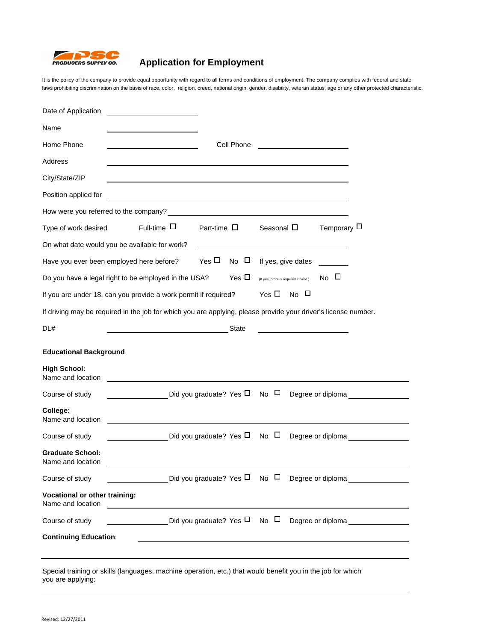

## **Application for Employment**

It is the policy of the company to provide equal opportunity with regard to all terms and conditions of employment. The company complies with federal and state laws prohibiting discrimination on the basis of race, color, religion, creed, national origin, gender, disability, veteran status, age or any other protected characteristic.

| Date of Application                                                                                            |                                                                |                              |             |                 |  |                                       |                  |                   |
|----------------------------------------------------------------------------------------------------------------|----------------------------------------------------------------|------------------------------|-------------|-----------------|--|---------------------------------------|------------------|-------------------|
| Name                                                                                                           |                                                                |                              |             |                 |  |                                       |                  |                   |
| Home Phone<br>Cell Phone                                                                                       |                                                                |                              |             |                 |  |                                       |                  |                   |
| Address                                                                                                        |                                                                |                              |             |                 |  |                                       |                  |                   |
| City/State/ZIP                                                                                                 |                                                                |                              |             |                 |  |                                       |                  |                   |
| Position applied for                                                                                           |                                                                |                              |             |                 |  |                                       |                  |                   |
| How were you referred to the company?                                                                          |                                                                |                              |             |                 |  |                                       |                  |                   |
| Type of work desired                                                                                           | Full-time $\Box$                                               | Part-time $\Box$             |             | Seasonal $\Box$ |  |                                       | Temporary $\Box$ |                   |
|                                                                                                                | On what date would you be available for work?                  |                              |             |                 |  |                                       |                  |                   |
|                                                                                                                | Have you ever been employed here before?                       | Yes $\Box$                   | $N0$ $\Box$ |                 |  | If yes, give dates                    |                  |                   |
|                                                                                                                | Do you have a legal right to be employed in the USA?           |                              | $Yes \Box$  |                 |  | (If yes, proof is required if hired.) | $N0$ $\Box$      |                   |
| Yes $\Box$ No $\Box$<br>If you are under 18, can you provide a work permit if required?                        |                                                                |                              |             |                 |  |                                       |                  |                   |
| If driving may be required in the job for which you are applying, please provide your driver's license number. |                                                                |                              |             |                 |  |                                       |                  |                   |
| DL#                                                                                                            |                                                                |                              | State       |                 |  |                                       |                  |                   |
| <b>Educational Background</b>                                                                                  |                                                                |                              |             |                 |  |                                       |                  |                   |
| <b>High School:</b><br>Name and location                                                                       |                                                                |                              |             |                 |  |                                       |                  |                   |
| Course of study                                                                                                | Did you graduate? Yes $\Box$                                   |                              |             | $N0$ $\Box$     |  |                                       |                  | Degree or diploma |
| College:<br>Name and location                                                                                  |                                                                |                              |             |                 |  |                                       |                  |                   |
| Course of study                                                                                                |                                                                | Did you graduate? Yes $\Box$ |             | $N0$ $\Box$     |  |                                       |                  | Degree or diploma |
| <b>Graduate School:</b><br>Name and location                                                                   |                                                                |                              |             |                 |  |                                       |                  |                   |
| Course of study                                                                                                | Did you graduate? Yes $\square$ No $\square$ Degree or diploma |                              |             |                 |  |                                       |                  |                   |
| <b>Vocational or other training:</b><br>Name and location                                                      |                                                                |                              |             |                 |  |                                       |                  |                   |
| Course of study                                                                                                | Did you graduate? Yes $\Box$ No $\Box$ Degree or diploma       |                              |             |                 |  |                                       |                  |                   |
| <b>Continuing Education:</b>                                                                                   |                                                                |                              |             |                 |  |                                       |                  |                   |
|                                                                                                                |                                                                |                              |             |                 |  |                                       |                  |                   |
|                                                                                                                |                                                                |                              |             |                 |  |                                       |                  |                   |

Special training or skills (languages, machine operation, etc.) that would benefit you in the job for which you are applying: